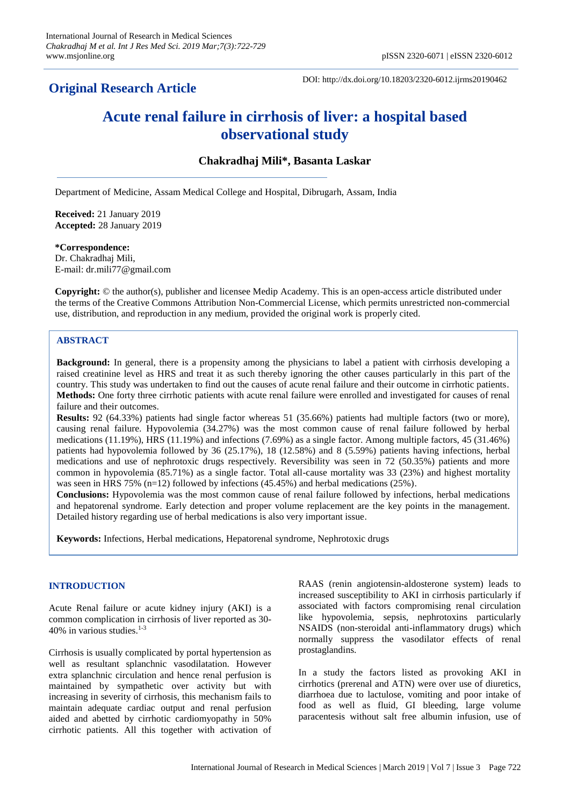# **Original Research Article**

DOI: http://dx.doi.org/10.18203/2320-6012.ijrms20190462

# **Acute renal failure in cirrhosis of liver: a hospital based observational study**

# **Chakradhaj Mili\*, Basanta Laskar**

Department of Medicine, Assam Medical College and Hospital, Dibrugarh, Assam, India

**Received:** 21 January 2019 **Accepted:** 28 January 2019

# **\*Correspondence:**

Dr. Chakradhaj Mili, E-mail: dr.mili77@gmail.com

**Copyright:** © the author(s), publisher and licensee Medip Academy. This is an open-access article distributed under the terms of the Creative Commons Attribution Non-Commercial License, which permits unrestricted non-commercial use, distribution, and reproduction in any medium, provided the original work is properly cited.

# **ABSTRACT**

**Background:** In general, there is a propensity among the physicians to label a patient with cirrhosis developing a raised creatinine level as HRS and treat it as such thereby ignoring the other causes particularly in this part of the country. This study was undertaken to find out the causes of acute renal failure and their outcome in cirrhotic patients. **Methods:** One forty three cirrhotic patients with acute renal failure were enrolled and investigated for causes of renal failure and their outcomes.

**Results:** 92 (64.33%) patients had single factor whereas 51 (35.66%) patients had multiple factors (two or more), causing renal failure. Hypovolemia (34.27%) was the most common cause of renal failure followed by herbal medications (11.19%), HRS (11.19%) and infections (7.69%) as a single factor. Among multiple factors, 45 (31.46%) patients had hypovolemia followed by 36 (25.17%), 18 (12.58%) and 8 (5.59%) patients having infections, herbal medications and use of nephrotoxic drugs respectively. Reversibility was seen in 72 (50.35%) patients and more common in hypovolemia (85.71%) as a single factor. Total all-cause mortality was 33 (23%) and highest mortality was seen in HRS 75% (n=12) followed by infections (45.45%) and herbal medications (25%).

**Conclusions:** Hypovolemia was the most common cause of renal failure followed by infections, herbal medications and hepatorenal syndrome. Early detection and proper volume replacement are the key points in the management. Detailed history regarding use of herbal medications is also very important issue.

**Keywords:** Infections, Herbal medications, Hepatorenal syndrome, Nephrotoxic drugs

# **INTRODUCTION**

Acute Renal failure or acute kidney injury (AKI) is a common complication in cirrhosis of liver reported as 30- 40% in various studies.1-3

Cirrhosis is usually complicated by portal hypertension as well as resultant splanchnic vasodilatation. However extra splanchnic circulation and hence renal perfusion is maintained by sympathetic over activity but with increasing in severity of cirrhosis, this mechanism fails to maintain adequate cardiac output and renal perfusion aided and abetted by cirrhotic cardiomyopathy in 50% cirrhotic patients. All this together with activation of RAAS (renin angiotensin-aldosterone system) leads to increased susceptibility to AKI in cirrhosis particularly if associated with factors compromising renal circulation like hypovolemia, sepsis, nephrotoxins particularly NSAIDS (non-steroidal anti-inflammatory drugs) which normally suppress the vasodilator effects of renal prostaglandins.

In a study the factors listed as provoking AKI in cirrhotics (prerenal and ATN) were over use of diuretics, diarrhoea due to lactulose, vomiting and poor intake of food as well as fluid, GI bleeding, large volume paracentesis without salt free albumin infusion, use of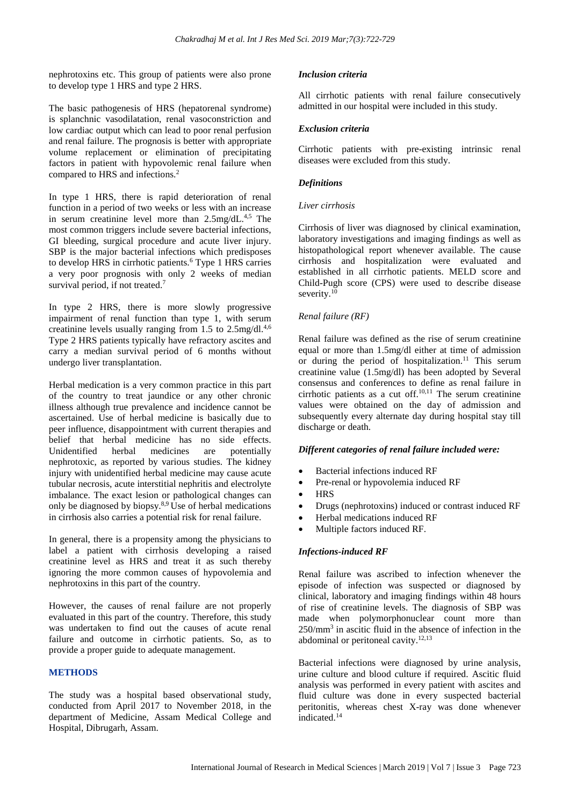nephrotoxins etc. This group of patients were also prone to develop type 1 HRS and type 2 HRS.

The basic pathogenesis of HRS (hepatorenal syndrome) is splanchnic vasodilatation, renal vasoconstriction and low cardiac output which can lead to poor renal perfusion and renal failure. The prognosis is better with appropriate volume replacement or elimination of precipitating factors in patient with hypovolemic renal failure when compared to HRS and infections.<sup>2</sup>

In type 1 HRS, there is rapid deterioration of renal function in a period of two weeks or less with an increase in serum creatinine level more than 2.5mg/dL.<sup>4,5</sup> The most common triggers include severe bacterial infections, GI bleeding, surgical procedure and acute liver injury. SBP is the major bacterial infections which predisposes to develop HRS in cirrhotic patients.<sup>6</sup> Type 1 HRS carries a very poor prognosis with only 2 weeks of median survival period, if not treated.<sup>7</sup>

In type 2 HRS, there is more slowly progressive impairment of renal function than type 1, with serum creatinine levels usually ranging from 1.5 to  $2.5$ mg/dl.<sup>4,6</sup> Type 2 HRS patients typically have refractory ascites and carry a median survival period of 6 months without undergo liver transplantation.

Herbal medication is a very common practice in this part of the country to treat jaundice or any other chronic illness although true prevalence and incidence cannot be ascertained. Use of herbal medicine is basically due to peer influence, disappointment with current therapies and belief that herbal medicine has no side effects. Unidentified herbal medicines are potentially nephrotoxic, as reported by various studies. The kidney injury with unidentified herbal medicine may cause acute tubular necrosis, acute interstitial nephritis and electrolyte imbalance. The exact lesion or pathological changes can only be diagnosed by biopsy.8,9 Use of herbal medications in cirrhosis also carries a potential risk for renal failure.

In general, there is a propensity among the physicians to label a patient with cirrhosis developing a raised creatinine level as HRS and treat it as such thereby ignoring the more common causes of hypovolemia and nephrotoxins in this part of the country.

However, the causes of renal failure are not properly evaluated in this part of the country. Therefore, this study was undertaken to find out the causes of acute renal failure and outcome in cirrhotic patients. So, as to provide a proper guide to adequate management.

# **METHODS**

The study was a hospital based observational study, conducted from April 2017 to November 2018, in the department of Medicine, Assam Medical College and Hospital, Dibrugarh, Assam.

# *Inclusion criteria*

All cirrhotic patients with renal failure consecutively admitted in our hospital were included in this study.

# *Exclusion criteria*

Cirrhotic patients with pre-existing intrinsic renal diseases were excluded from this study.

#### *Definitions*

#### *Liver cirrhosis*

Cirrhosis of liver was diagnosed by clinical examination, laboratory investigations and imaging findings as well as histopathological report whenever available. The cause cirrhosis and hospitalization were evaluated and established in all cirrhotic patients. MELD score and Child-Pugh score (CPS) were used to describe disease severity.<sup>10</sup>

# *Renal failure (RF)*

Renal failure was defined as the rise of serum creatinine equal or more than 1.5mg/dl either at time of admission or during the period of hospitalization.<sup>11</sup> This serum creatinine value (1.5mg/dl) has been adopted by Several consensus and conferences to define as renal failure in cirrhotic patients as a cut off. $10,11$  The serum creatinine values were obtained on the day of admission and subsequently every alternate day during hospital stay till discharge or death.

#### *Different categories of renal failure included were:*

- Bacterial infections induced RF
- Pre-renal or hypovolemia induced RF
- HRS
- Drugs (nephrotoxins) induced or contrast induced RF
- Herbal medications induced RF
- Multiple factors induced RF.

# *Infections-induced RF*

Renal failure was ascribed to infection whenever the episode of infection was suspected or diagnosed by clinical, laboratory and imaging findings within 48 hours of rise of creatinine levels. The diagnosis of SBP was made when polymorphonuclear count more than 250/mm<sup>3</sup> in ascitic fluid in the absence of infection in the abdominal or peritoneal cavity.<sup>12,13</sup>

Bacterial infections were diagnosed by urine analysis, urine culture and blood culture if required. Ascitic fluid analysis was performed in every patient with ascites and fluid culture was done in every suspected bacterial peritonitis, whereas chest X-ray was done whenever indicated.<sup>14</sup>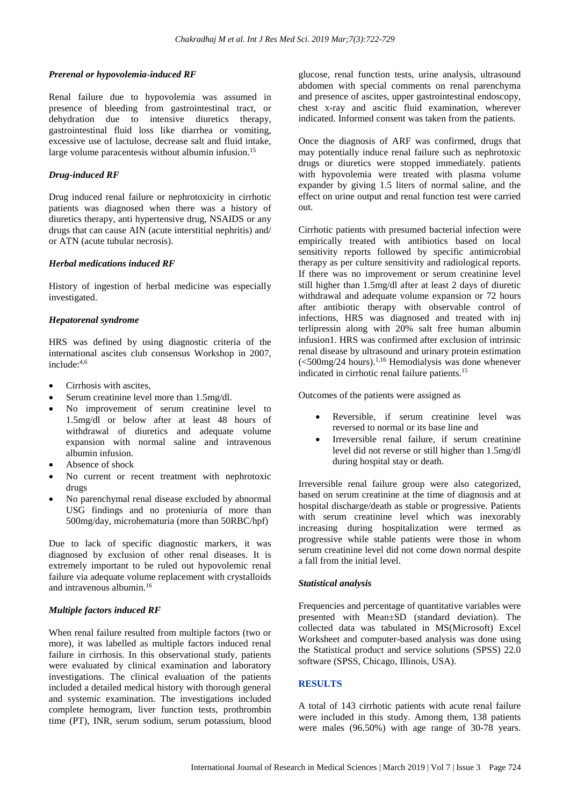#### *Prerenal or hypovolemia-induced RF*

Renal failure due to hypovolemia was assumed in presence of bleeding from gastrointestinal tract, or dehydration due to intensive diuretics therapy, gastrointestinal fluid loss like diarrhea or vomiting, excessive use of lactulose, decrease salt and fluid intake, large volume paracentesis without albumin infusion.<sup>15</sup>

#### *Drug-induced RF*

Drug induced renal failure or nephrotoxicity in cirrhotic patients was diagnosed when there was a history of diuretics therapy, anti hypertensive drug, NSAIDS or any drugs that can cause AIN (acute interstitial nephritis) and/ or ATN (acute tubular necrosis).

#### *Herbal medications induced RF*

History of ingestion of herbal medicine was especially investigated.

## *Hepatorenal syndrome*

HRS was defined by using diagnostic criteria of the international ascites club consensus Workshop in 2007, include: 4,6

- Cirrhosis with ascites,
- Serum creatinine level more than 1.5mg/dl.
- No improvement of serum creatinine level to 1.5mg/dl or below after at least 48 hours of withdrawal of diuretics and adequate volume expansion with normal saline and intravenous albumin infusion.
- Absence of shock
- No current or recent treatment with nephrotoxic drugs
- No parenchymal renal disease excluded by abnormal USG findings and no proteniuria of more than 500mg/day, microhematuria (more than 50RBC/hpf)

Due to lack of specific diagnostic markers, it was diagnosed by exclusion of other renal diseases. It is extremely important to be ruled out hypovolemic renal failure via adequate volume replacement with crystalloids and intravenous albumin.<sup>16</sup>

# *Multiple factors induced RF*

When renal failure resulted from multiple factors (two or more), it was labelled as multiple factors induced renal failure in cirrhosis. In this observational study, patients were evaluated by clinical examination and laboratory investigations. The clinical evaluation of the patients included a detailed medical history with thorough general and systemic examination. The investigations included complete hemogram, liver function tests, prothrombin time (PT), INR, serum sodium, serum potassium, blood glucose, renal function tests, urine analysis, ultrasound abdomen with special comments on renal parenchyma and presence of ascites, upper gastrointestinal endoscopy, chest x-ray and ascitic fluid examination, wherever indicated. Informed consent was taken from the patients.

Once the diagnosis of ARF was confirmed, drugs that may potentially induce renal failure such as nephrotoxic drugs or diuretics were stopped immediately. patients with hypovolemia were treated with plasma volume expander by giving 1.5 liters of normal saline, and the effect on urine output and renal function test were carried out.

Cirrhotic patients with presumed bacterial infection were empirically treated with antibiotics based on local sensitivity reports followed by specific antimicrobial therapy as per culture sensitivity and radiological reports. If there was no improvement or serum creatinine level still higher than 1.5mg/dl after at least 2 days of diuretic withdrawal and adequate volume expansion or 72 hours after antibiotic therapy with observable control of infections, HRS was diagnosed and treated with inj terlipressin along with 20% salt free human albumin infusion1. HRS was confirmed after exclusion of intrinsic renal disease by ultrasound and urinary protein estimation  $\sim$  (<500mg/24 hours).<sup>1,16</sup> Hemodialysis was done whenever indicated in cirrhotic renal failure patients.<sup>15</sup>

Outcomes of the patients were assigned as

- Reversible, if serum creatinine level was reversed to normal or its base line and
- Irreversible renal failure, if serum creatinine level did not reverse or still higher than 1.5mg/dl during hospital stay or death.

Irreversible renal failure group were also categorized, based on serum creatinine at the time of diagnosis and at hospital discharge/death as stable or progressive. Patients with serum creatinine level which was inexorably increasing during hospitalization were termed as progressive while stable patients were those in whom serum creatinine level did not come down normal despite a fall from the initial level.

# *Statistical analysis*

Frequencies and percentage of quantitative variables were presented with Mean±SD (standard deviation). The collected data was tabulated in MS(Microsoft) Excel Worksheet and computer-based analysis was done using the Statistical product and service solutions (SPSS) 22.0 software (SPSS, Chicago, Illinois, USA).

# **RESULTS**

A total of 143 cirrhotic patients with acute renal failure were included in this study. Among them, 138 patients were males (96.50%) with age range of 30-78 years.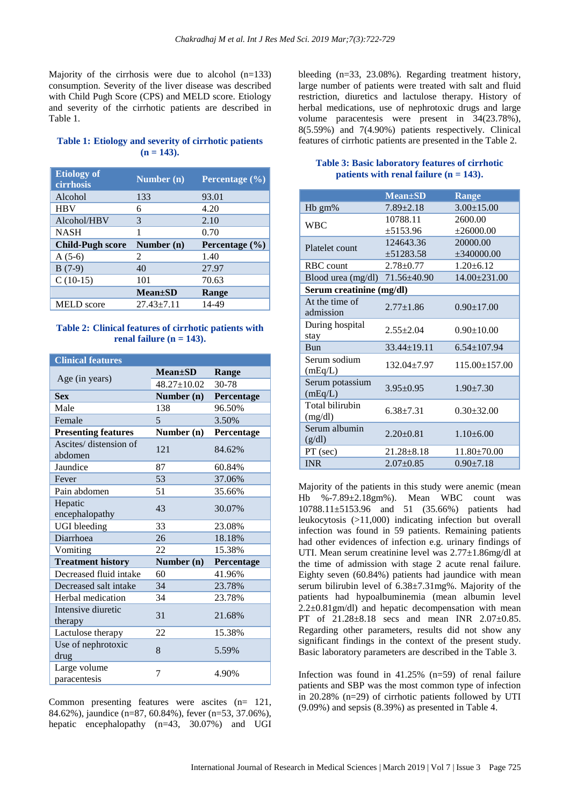Majority of the cirrhosis were due to alcohol  $(n=133)$ consumption. Severity of the liver disease was described with Child Pugh Score (CPS) and MELD score. Etiology and severity of the cirrhotic patients are described in Table 1.

#### **Table 1: Etiology and severity of cirrhotic patients (n = 143).**

| <b>Etiology of</b><br>cirrhosis | Number $(n)$                | Percentage $(\% )$ |
|---------------------------------|-----------------------------|--------------------|
| Alcohol                         | 133                         | 93.01              |
| <b>HBV</b>                      | 6                           | 4.20               |
| Alcohol/HBV                     | 3                           | 2.10               |
| <b>NASH</b>                     | 1                           | 0.70               |
|                                 |                             |                    |
| <b>Child-Pugh score</b>         | Number (n)                  | Percentage $(\% )$ |
| $A(5-6)$                        | $\mathcal{D}_{\mathcal{L}}$ | 1.40               |
| $B(7-9)$                        | 40                          | 27.97              |
| $C(10-15)$                      | 101                         | 70.63              |
|                                 | <b>Mean</b> ±SD             | Range              |

# **Table 2: Clinical features of cirrhotic patients with renal failure (n = 143).**

| <b>Clinical features</b>          |                   |            |
|-----------------------------------|-------------------|------------|
| Age (in years)                    | $Mean \pm SD$     | Range      |
|                                   | $48.27 \pm 10.02$ | 30-78      |
| <b>Sex</b>                        | Number (n)        | Percentage |
| Male                              | 138               | 96.50%     |
| Female                            | 5                 | 3.50%      |
| <b>Presenting features</b>        | Number (n)        | Percentage |
| Ascites/ distension of<br>abdomen | 121               | 84.62%     |
| Jaundice                          | 87                | 60.84%     |
| Fever                             | 53                | 37.06%     |
| Pain abdomen                      | 51                | 35.66%     |
| Hepatic<br>encephalopathy         | 43                | 30.07%     |
| <b>UGI</b> bleeding               | 33                | 23.08%     |
| Diarrhoea                         | 26                | 18.18%     |
| Vomiting                          | 22                | 15.38%     |
| <b>Treatment history</b>          | Number (n)        | Percentage |
| Decreased fluid intake            | 60                | 41.96%     |
| Decreased salt intake             | 34                | 23.78%     |
| Herbal medication                 | 34                | 23.78%     |
| Intensive diuretic<br>therapy     | 31                | 21.68%     |
| Lactulose therapy                 | 22                | 15.38%     |
| Use of nephrotoxic<br>drug        | 8                 | 5.59%      |
| Large volume<br>paracentesis      | 7                 | 4.90%      |

Common presenting features were ascites (n= 121, 84.62%), jaundice (n=87, 60.84%), fever (n=53, 37.06%), hepatic encephalopathy (n=43, 30.07%) and UGI bleeding (n=33, 23.08%). Regarding treatment history, large number of patients were treated with salt and fluid restriction, diuretics and lactulose therapy. History of herbal medications, use of nephrotoxic drugs and large volume paracentesis were present in 34(23.78%), 8(5.59%) and 7(4.90%) patients respectively. Clinical features of cirrhotic patients are presented in the Table 2.

#### **Table 3: Basic laboratory features of cirrhotic patients with renal failure (n = 143).**

|                                    | <b>Mean</b> ±SD  | <b>Range</b>        |  |  |
|------------------------------------|------------------|---------------------|--|--|
| H <sub>b</sub> gm%                 | $7.89 \pm 2.18$  | $3.00 \pm 15.00$    |  |  |
| <b>WBC</b>                         | 10788.11         | 2600.00             |  |  |
|                                    | ±5153.96         | $\pm 26000.00$      |  |  |
| Platelet count                     | 124643.36        | 20000.00            |  |  |
|                                    | $\pm 51283.58$   | $\pm 340000.00$     |  |  |
| <b>RBC</b> count                   | $2.78 + 0.77$    | $1.20 \pm 6.12$     |  |  |
| Blood urea (mg/dl) $71.56\pm40.90$ |                  | $14.00 \pm 231.00$  |  |  |
| Serum creatinine (mg/dl)           |                  |                     |  |  |
| At the time of                     | $2.77 + 1.86$    |                     |  |  |
| admission                          |                  | $0.90 \pm 17.00$    |  |  |
| During hospital                    | $2.55 \pm 2.04$  | $0.90 \pm 10.00$    |  |  |
| stay                               |                  |                     |  |  |
| <b>Bun</b>                         | 33.44±19.11      | $6.54 \pm 107.94$   |  |  |
| Serum sodium                       | 132.04±7.97      | $115.00 \pm 157.00$ |  |  |
| (mEq/L)                            |                  |                     |  |  |
| Serum potassium                    | $3.95+0.95$      | $1.90 \pm 7.30$     |  |  |
| (mEq/L)                            |                  |                     |  |  |
| Total bilirubin                    | $6.38 + 7.31$    | $0.30 + 32.00$      |  |  |
| (mg/dl)                            |                  |                     |  |  |
| Serum albumin                      | $2.20+0.81$      | $1.10+6.00$         |  |  |
| (g/dl)                             |                  |                     |  |  |
| PT (sec)                           | $21.28 \pm 8.18$ | $11.80 \pm 70.00$   |  |  |
| <b>INR</b>                         | $2.07 \pm 0.85$  | $0.90 \pm 7.18$     |  |  |

Majority of the patients in this study were anemic (mean Hb %-7.89±2.18gm%). Mean WBC count was 10788.11±5153.96 and 51 (35.66%) patients had leukocytosis (>11,000) indicating infection but overall infection was found in 59 patients. Remaining patients had other evidences of infection e.g. urinary findings of UTI. Mean serum creatinine level was 2.77±1.86mg/dl at the time of admission with stage 2 acute renal failure. Eighty seven (60.84%) patients had jaundice with mean serum bilirubin level of 6.38±7.31mg%. Majority of the patients had hypoalbuminemia (mean albumin level  $2.2\pm0.81$ gm/dl) and hepatic decompensation with mean PT of 21.28±8.18 secs and mean INR 2.07±0.85. Regarding other parameters, results did not show any significant findings in the context of the present study. Basic laboratory parameters are described in the Table 3.

Infection was found in  $41.25\%$  (n=59) of renal failure patients and SBP was the most common type of infection in 20.28% (n=29) of cirrhotic patients followed by UTI (9.09%) and sepsis (8.39%) as presented in Table 4.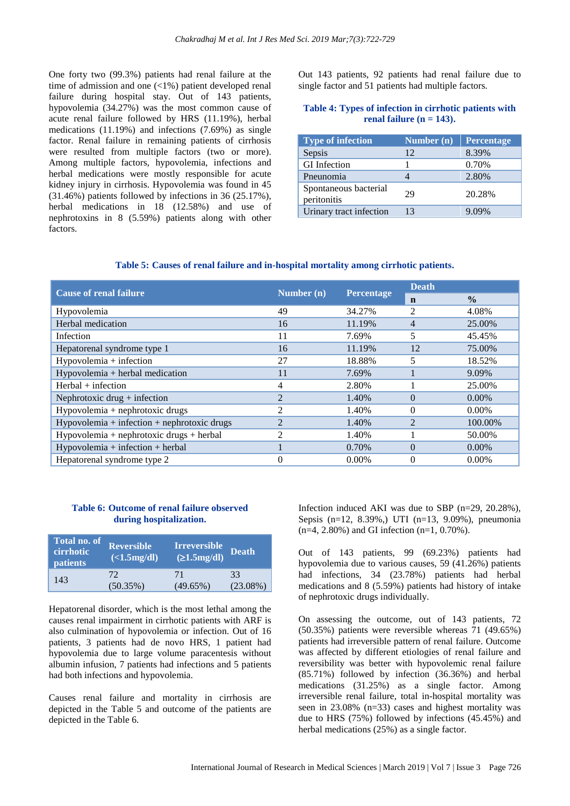One forty two (99.3%) patients had renal failure at the time of admission and one (<1%) patient developed renal failure during hospital stay. Out of 143 patients, hypovolemia (34.27%) was the most common cause of acute renal failure followed by HRS (11.19%), herbal medications (11.19%) and infections (7.69%) as single factor. Renal failure in remaining patients of cirrhosis were resulted from multiple factors (two or more). Among multiple factors, hypovolemia, infections and herbal medications were mostly responsible for acute kidney injury in cirrhosis. Hypovolemia was found in 45 (31.46%) patients followed by infections in 36 (25.17%), herbal medications in 18 (12.58%) and use of nephrotoxins in 8 (5.59%) patients along with other factors.

Out 143 patients, 92 patients had renal failure due to single factor and 51 patients had multiple factors.

#### **Table 4: Types of infection in cirrhotic patients with renal failure (n = 143).**

| <b>Type of infection</b>             | Number $(n)$ | <b>Percentage</b> |
|--------------------------------------|--------------|-------------------|
| Sepsis                               | 12           | 8.39%             |
| <b>GI</b> Infection                  |              | 0.70%             |
| Pneunomia                            |              | 2.80%             |
| Spontaneous bacterial<br>peritonitis | 29           | 20.28%            |
| Urinary tract infection              | 13           | $9.09\%$          |

#### **Table 5: Causes of renal failure and in-hospital mortality among cirrhotic patients.**

| <b>Cause of renal failure</b>                 | Number (n)     | <b>Percentage</b> | <b>Death</b>   |               |
|-----------------------------------------------|----------------|-------------------|----------------|---------------|
|                                               |                |                   | n              | $\frac{0}{0}$ |
| Hypovolemia                                   | 49             | 34.27%            | 2              | 4.08%         |
| Herbal medication                             | 16             | 11.19%            | 4              | 25.00%        |
| Infection                                     | 11             | 7.69%             | 5              | 45.45%        |
| Hepatorenal syndrome type 1                   | 16             | 11.19%            | 12             | 75.00%        |
| $Hypovolemia + infection$                     | 27             | 18.88%            | 5              | 18.52%        |
| $Hypovolemia + herbal \text{ medical}$        | 11             | 7.69%             |                | 9.09%         |
| $Herbal + infection$                          | 4              | 2.80%             |                | 25.00%        |
| Nephrotoxic drug + infection                  | $\overline{2}$ | 1.40%             | $\Omega$       | $0.00\%$      |
| Hypovolemia + nephrotoxic drugs               | 2              | 1.40%             | $\Omega$       | $0.00\%$      |
| $Hypovolemia + infection + nephrotoxic drugs$ | 2              | 1.40%             | $\mathfrak{D}$ | 100.00%       |
| Hypovolemia + nephrotoxic drugs + herbal      | 2              | 1.40%             |                | 50.00%        |
| $Hypovolemia + infection + herbal$            |                | 0.70%             | $\Omega$       | $0.00\%$      |
| Hepatorenal syndrome type 2                   | $\theta$       | $0.00\%$          | $\Omega$       | $0.00\%$      |

## **Table 6: Outcome of renal failure observed during hospitalization.**

| <b>Total no. of</b><br>cirrhotic<br>patients | <b>Reversible</b><br>$\overline{(-1.5 \text{mg/dl})}$ | <b>Irreversible</b><br>(21.5mg/dl) | <b>Death</b> |
|----------------------------------------------|-------------------------------------------------------|------------------------------------|--------------|
| 143                                          | 72                                                    | 71                                 | 33           |
|                                              | $(50.35\%)$                                           | $(49.65\%)$                        | $(23.08\%)$  |

Hepatorenal disorder, which is the most lethal among the causes renal impairment in cirrhotic patients with ARF is also culmination of hypovolemia or infection. Out of 16 patients, 3 patients had de novo HRS, 1 patient had hypovolemia due to large volume paracentesis without albumin infusion, 7 patients had infections and 5 patients had both infections and hypovolemia.

Causes renal failure and mortality in cirrhosis are depicted in the Table 5 and outcome of the patients are depicted in the Table 6.

Infection induced AKI was due to SBP (n=29, 20.28%), Sepsis (n=12, 8.39%,) UTI (n=13, 9.09%), pneumonia (n=4, 2.80%) and GI infection (n=1, 0.70%).

Out of 143 patients, 99 (69.23%) patients had hypovolemia due to various causes, 59 (41.26%) patients had infections, 34 (23.78%) patients had herbal medications and 8 (5.59%) patients had history of intake of nephrotoxic drugs individually.

On assessing the outcome, out of 143 patients, 72 (50.35%) patients were reversible whereas 71 (49.65%) patients had irreversible pattern of renal failure. Outcome was affected by different etiologies of renal failure and reversibility was better with hypovolemic renal failure (85.71%) followed by infection (36.36%) and herbal medications (31.25%) as a single factor. Among irreversible renal failure, total in-hospital mortality was seen in 23.08% (n=33) cases and highest mortality was due to HRS (75%) followed by infections (45.45%) and herbal medications (25%) as a single factor.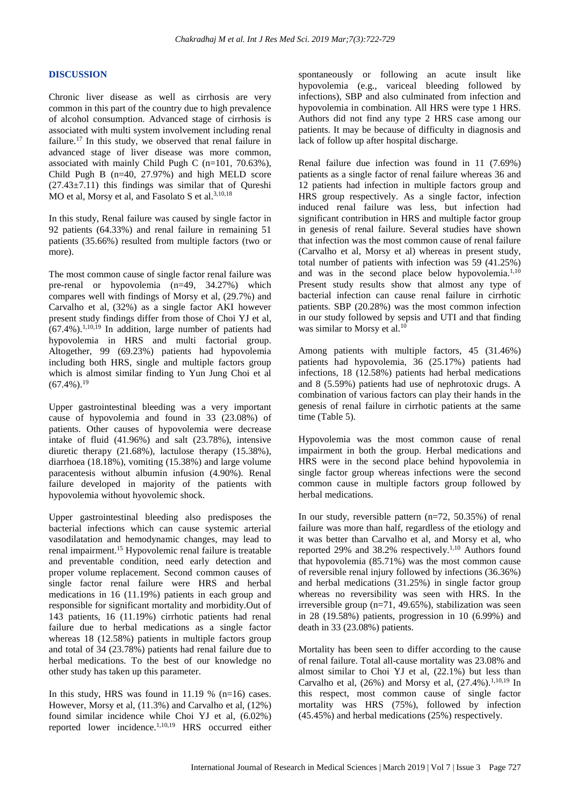#### **DISCUSSION**

Chronic liver disease as well as cirrhosis are very common in this part of the country due to high prevalence of alcohol consumption. Advanced stage of cirrhosis is associated with multi system involvement including renal failure.<sup>17</sup> In this study, we observed that renal failure in advanced stage of liver disease was more common, associated with mainly Child Pugh C (n=101, 70.63%), Child Pugh B (n=40, 27.97%) and high MELD score  $(27.43\pm7.11)$  this findings was similar that of Oureshi MO et al, Morsy et al, and Fasolato S et al.<sup>3,10,18</sup>

In this study, Renal failure was caused by single factor in 92 patients (64.33%) and renal failure in remaining 51 patients (35.66%) resulted from multiple factors (two or more).

The most common cause of single factor renal failure was pre-renal or hypovolemia (n=49, 34.27%) which compares well with findings of Morsy et al, (29.7%) and Carvalho et al, (32%) as a single factor AKI however present study findings differ from those of Choi YJ et al,  $(67.4\%)$ .<sup>1,10,19</sup> In addition, large number of patients had hypovolemia in HRS and multi factorial group. Altogether, 99 (69.23%) patients had hypovolemia including both HRS, single and multiple factors group which is almost similar finding to Yun Jung Choi et al  $(67.4\%)$ <sup>19</sup>

Upper gastrointestinal bleeding was a very important cause of hypovolemia and found in 33 (23.08%) of patients. Other causes of hypovolemia were decrease intake of fluid (41.96%) and salt (23.78%), intensive diuretic therapy (21.68%), lactulose therapy (15.38%), diarrhoea (18.18%), vomiting (15.38%) and large volume paracentesis without albumin infusion (4.90%). Renal failure developed in majority of the patients with hypovolemia without hyovolemic shock.

Upper gastrointestinal bleeding also predisposes the bacterial infections which can cause systemic arterial vasodilatation and hemodynamic changes, may lead to renal impairment.<sup>15</sup> Hypovolemic renal failure is treatable and preventable condition, need early detection and proper volume replacement. Second common causes of single factor renal failure were HRS and herbal medications in 16 (11.19%) patients in each group and responsible for significant mortality and morbidity.Out of 143 patients, 16 (11.19%) cirrhotic patients had renal failure due to herbal medications as a single factor whereas 18 (12.58%) patients in multiple factors group and total of 34 (23.78%) patients had renal failure due to herbal medications. To the best of our knowledge no other study has taken up this parameter.

In this study, HRS was found in 11.19 % (n=16) cases. However, Morsy et al, (11.3%) and Carvalho et al, (12%) found similar incidence while Choi YJ et al, (6.02%) reported lower incidence.1,10,19 HRS occurred either spontaneously or following an acute insult like hypovolemia (e.g., variceal bleeding followed by infections), SBP and also culminated from infection and hypovolemia in combination. All HRS were type 1 HRS. Authors did not find any type 2 HRS case among our patients. It may be because of difficulty in diagnosis and lack of follow up after hospital discharge.

Renal failure due infection was found in 11 (7.69%) patients as a single factor of renal failure whereas 36 and 12 patients had infection in multiple factors group and HRS group respectively. As a single factor, infection induced renal failure was less, but infection had significant contribution in HRS and multiple factor group in genesis of renal failure. Several studies have shown that infection was the most common cause of renal failure (Carvalho et al, Morsy et al) whereas in present study, total number of patients with infection was 59 (41.25%) and was in the second place below hypovolemia.<sup>1,10</sup> Present study results show that almost any type of bacterial infection can cause renal failure in cirrhotic patients. SBP (20.28%) was the most common infection in our study followed by sepsis and UTI and that finding was similar to Morsy et al.<sup>10</sup>

Among patients with multiple factors, 45 (31.46%) patients had hypovolemia, 36 (25.17%) patients had infections, 18 (12.58%) patients had herbal medications and 8 (5.59%) patients had use of nephrotoxic drugs. A combination of various factors can play their hands in the genesis of renal failure in cirrhotic patients at the same time (Table 5).

Hypovolemia was the most common cause of renal impairment in both the group. Herbal medications and HRS were in the second place behind hypovolemia in single factor group whereas infections were the second common cause in multiple factors group followed by herbal medications.

In our study, reversible pattern (n=72, 50.35%) of renal failure was more than half, regardless of the etiology and it was better than Carvalho et al, and Morsy et al, who reported 29% and 38.2% respectively.1,10 Authors found that hypovolemia (85.71%) was the most common cause of reversible renal injury followed by infections (36.36%) and herbal medications (31.25%) in single factor group whereas no reversibility was seen with HRS. In the irreversible group (n=71, 49.65%), stabilization was seen in 28 (19.58%) patients, progression in 10 (6.99%) and death in 33 (23.08%) patients.

Mortality has been seen to differ according to the cause of renal failure. Total all-cause mortality was 23.08% and almost similar to Choi YJ et al, (22.1%) but less than Carvalho et al,  $(26%)$  and Morsy et al,  $(27.4%)$ .<sup>1,10,19</sup> In this respect, most common cause of single factor mortality was HRS (75%), followed by infection (45.45%) and herbal medications (25%) respectively.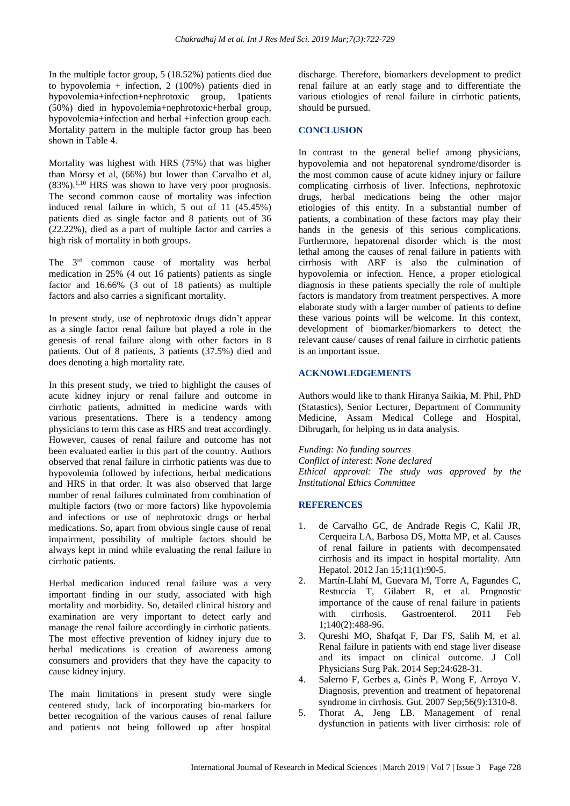In the multiple factor group, 5 (18.52%) patients died due to hypovolemia + infection, 2 (100%) patients died in hypovolemia+infection+nephrotoxic group, 1patients (50%) died in hypovolemia+nephrotoxic+herbal group, hypovolemia+infection and herbal +infection group each. Mortality pattern in the multiple factor group has been shown in Table 4.

Mortality was highest with HRS (75%) that was higher than Morsy et al, (66%) but lower than Carvalho et al,  $(83\%)$ <sup>1,10</sup> HRS was shown to have very poor prognosis. The second common cause of mortality was infection induced renal failure in which, 5 out of 11 (45.45%) patients died as single factor and 8 patients out of 36 (22.22%), died as a part of multiple factor and carries a high risk of mortality in both groups.

The 3<sup>rd</sup> common cause of mortality was herbal medication in 25% (4 out 16 patients) patients as single factor and 16.66% (3 out of 18 patients) as multiple factors and also carries a significant mortality.

In present study, use of nephrotoxic drugs didn't appear as a single factor renal failure but played a role in the genesis of renal failure along with other factors in 8 patients. Out of 8 patients, 3 patients (37.5%) died and does denoting a high mortality rate.

In this present study, we tried to highlight the causes of acute kidney injury or renal failure and outcome in cirrhotic patients, admitted in medicine wards with various presentations. There is a tendency among physicians to term this case as HRS and treat accordingly. However, causes of renal failure and outcome has not been evaluated earlier in this part of the country. Authors observed that renal failure in cirrhotic patients was due to hypovolemia followed by infections, herbal medications and HRS in that order. It was also observed that large number of renal failures culminated from combination of multiple factors (two or more factors) like hypovolemia and infections or use of nephrotoxic drugs or herbal medications. So, apart from obvious single cause of renal impairment, possibility of multiple factors should be always kept in mind while evaluating the renal failure in cirrhotic patients.

Herbal medication induced renal failure was a very important finding in our study, associated with high mortality and morbidity. So, detailed clinical history and examination are very important to detect early and manage the renal failure accordingly in cirrhotic patients. The most effective prevention of kidney injury due to herbal medications is creation of awareness among consumers and providers that they have the capacity to cause kidney injury.

The main limitations in present study were single centered study, lack of incorporating bio-markers for better recognition of the various causes of renal failure and patients not being followed up after hospital discharge. Therefore, biomarkers development to predict renal failure at an early stage and to differentiate the various etiologies of renal failure in cirrhotic patients, should be pursued.

#### **CONCLUSION**

In contrast to the general belief among physicians, hypovolemia and not hepatorenal syndrome/disorder is the most common cause of acute kidney injury or failure complicating cirrhosis of liver. Infections, nephrotoxic drugs, herbal medications being the other major etiologies of this entity. In a substantial number of patients, a combination of these factors may play their hands in the genesis of this serious complications. Furthermore, hepatorenal disorder which is the most lethal among the causes of renal failure in patients with cirrhosis with ARF is also the culmination of hypovolemia or infection. Hence, a proper etiological diagnosis in these patients specially the role of multiple factors is mandatory from treatment perspectives. A more elaborate study with a larger number of patients to define these various points will be welcome. In this context, development of biomarker/biomarkers to detect the relevant cause/ causes of renal failure in cirrhotic patients is an important issue.

# **ACKNOWLEDGEMENTS**

Authors would like to thank Hiranya Saikia, M. Phil, PhD (Statastics), Senior Lecturer, Department of Community Medicine, Assam Medical College and Hospital, Dibrugarh, for helping us in data analysis.

*Funding: No funding sources Conflict of interest: None declared Ethical approval: The study was approved by the Institutional Ethics Committee*

#### **REFERENCES**

- 1. de Carvalho GC, de Andrade Regis C, Kalil JR, Cerqueira LA, Barbosa DS, Motta MP, et al. Causes of renal failure in patients with decompensated cirrhosis and its impact in hospital mortality. Ann Hepatol. 2012 Jan 15;11(1):90-5.
- 2. Martín-Llahí M, Guevara M, Torre A, Fagundes C, Restuccia T, Gilabert R, et al. Prognostic importance of the cause of renal failure in patients with cirrhosis. Gastroenterol. 2011 Feb 1;140(2):488-96.
- 3. Qureshi MO, Shafqat F, Dar FS, Salih M, et al. Renal failure in patients with end stage liver disease and its impact on clinical outcome. J Coll Physicians Surg Pak. 2014 Sep;24:628-31.
- 4. Salerno F, Gerbes a, Ginès P, Wong F, Arroyo V. Diagnosis, prevention and treatment of hepatorenal syndrome in cirrhosis. Gut. 2007 Sep;56(9):1310-8.
- 5. Thorat A, Jeng LB. Management of renal dysfunction in patients with liver cirrhosis: role of